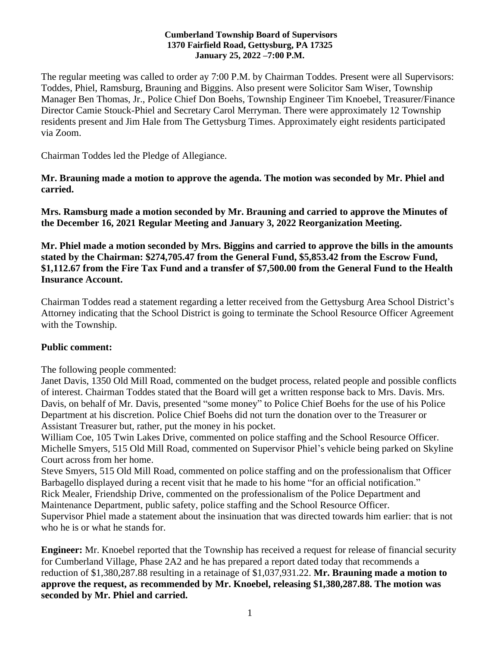#### **Cumberland Township Board of Supervisors 1370 Fairfield Road, Gettysburg, PA 17325 January 25, 2022 –7:00 P.M.**

The regular meeting was called to order ay 7:00 P.M. by Chairman Toddes. Present were all Supervisors: Toddes, Phiel, Ramsburg, Brauning and Biggins. Also present were Solicitor Sam Wiser, Township Manager Ben Thomas, Jr., Police Chief Don Boehs, Township Engineer Tim Knoebel, Treasurer/Finance Director Camie Stouck-Phiel and Secretary Carol Merryman. There were approximately 12 Township residents present and Jim Hale from The Gettysburg Times. Approximately eight residents participated via Zoom.

Chairman Toddes led the Pledge of Allegiance.

**Mr. Brauning made a motion to approve the agenda. The motion was seconded by Mr. Phiel and carried.**

**Mrs. Ramsburg made a motion seconded by Mr. Brauning and carried to approve the Minutes of the December 16, 2021 Regular Meeting and January 3, 2022 Reorganization Meeting.**

**Mr. Phiel made a motion seconded by Mrs. Biggins and carried to approve the bills in the amounts stated by the Chairman: \$274,705.47 from the General Fund, \$5,853.42 from the Escrow Fund, \$1,112.67 from the Fire Tax Fund and a transfer of \$7,500.00 from the General Fund to the Health Insurance Account.**

Chairman Toddes read a statement regarding a letter received from the Gettysburg Area School District's Attorney indicating that the School District is going to terminate the School Resource Officer Agreement with the Township.

## **Public comment:**

The following people commented:

Janet Davis, 1350 Old Mill Road, commented on the budget process, related people and possible conflicts of interest. Chairman Toddes stated that the Board will get a written response back to Mrs. Davis. Mrs. Davis, on behalf of Mr. Davis, presented "some money" to Police Chief Boehs for the use of his Police Department at his discretion. Police Chief Boehs did not turn the donation over to the Treasurer or Assistant Treasurer but, rather, put the money in his pocket.

William Coe, 105 Twin Lakes Drive, commented on police staffing and the School Resource Officer. Michelle Smyers, 515 Old Mill Road, commented on Supervisor Phiel's vehicle being parked on Skyline Court across from her home.

Steve Smyers, 515 Old Mill Road, commented on police staffing and on the professionalism that Officer Barbagello displayed during a recent visit that he made to his home "for an official notification." Rick Mealer, Friendship Drive, commented on the professionalism of the Police Department and Maintenance Department, public safety, police staffing and the School Resource Officer. Supervisor Phiel made a statement about the insinuation that was directed towards him earlier: that is not who he is or what he stands for.

**Engineer:** Mr. Knoebel reported that the Township has received a request for release of financial security for Cumberland Village, Phase 2A2 and he has prepared a report dated today that recommends a reduction of \$1,380,287.88 resulting in a retainage of \$1,037,931.22. **Mr. Brauning made a motion to approve the request, as recommended by Mr. Knoebel, releasing \$1,380,287.88. The motion was seconded by Mr. Phiel and carried.**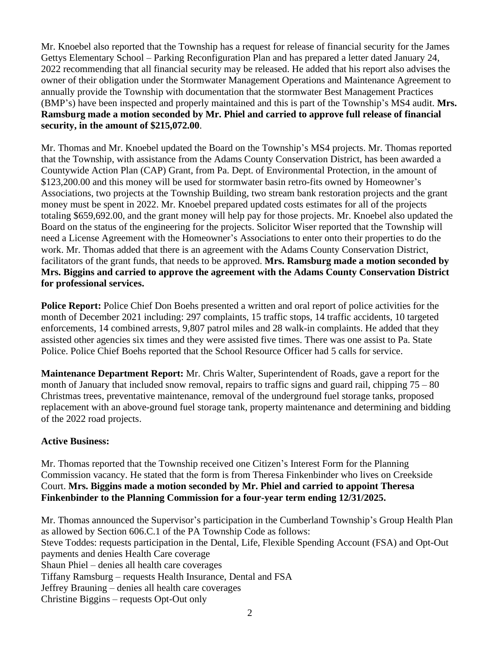Mr. Knoebel also reported that the Township has a request for release of financial security for the James Gettys Elementary School – Parking Reconfiguration Plan and has prepared a letter dated January 24, 2022 recommending that all financial security may be released. He added that his report also advises the owner of their obligation under the Stormwater Management Operations and Maintenance Agreement to annually provide the Township with documentation that the stormwater Best Management Practices (BMP's) have been inspected and properly maintained and this is part of the Township's MS4 audit. **Mrs. Ramsburg made a motion seconded by Mr. Phiel and carried to approve full release of financial security, in the amount of \$215,072.00**.

Mr. Thomas and Mr. Knoebel updated the Board on the Township's MS4 projects. Mr. Thomas reported that the Township, with assistance from the Adams County Conservation District, has been awarded a Countywide Action Plan (CAP) Grant, from Pa. Dept. of Environmental Protection, in the amount of \$123,200.00 and this money will be used for stormwater basin retro-fits owned by Homeowner's Associations, two projects at the Township Building, two stream bank restoration projects and the grant money must be spent in 2022. Mr. Knoebel prepared updated costs estimates for all of the projects totaling \$659,692.00, and the grant money will help pay for those projects. Mr. Knoebel also updated the Board on the status of the engineering for the projects. Solicitor Wiser reported that the Township will need a License Agreement with the Homeowner's Associations to enter onto their properties to do the work. Mr. Thomas added that there is an agreement with the Adams County Conservation District, facilitators of the grant funds, that needs to be approved. **Mrs. Ramsburg made a motion seconded by Mrs. Biggins and carried to approve the agreement with the Adams County Conservation District for professional services.** 

**Police Report:** Police Chief Don Boehs presented a written and oral report of police activities for the month of December 2021 including: 297 complaints, 15 traffic stops, 14 traffic accidents, 10 targeted enforcements, 14 combined arrests, 9,807 patrol miles and 28 walk-in complaints. He added that they assisted other agencies six times and they were assisted five times. There was one assist to Pa. State Police. Police Chief Boehs reported that the School Resource Officer had 5 calls for service.

**Maintenance Department Report:** Mr. Chris Walter, Superintendent of Roads, gave a report for the month of January that included snow removal, repairs to traffic signs and guard rail, chipping 75 – 80 Christmas trees, preventative maintenance, removal of the underground fuel storage tanks, proposed replacement with an above-ground fuel storage tank, property maintenance and determining and bidding of the 2022 road projects.

## **Active Business:**

Mr. Thomas reported that the Township received one Citizen's Interest Form for the Planning Commission vacancy. He stated that the form is from Theresa Finkenbinder who lives on Creekside Court. **Mrs. Biggins made a motion seconded by Mr. Phiel and carried to appoint Theresa Finkenbinder to the Planning Commission for a four-year term ending 12/31/2025.** 

Mr. Thomas announced the Supervisor's participation in the Cumberland Township's Group Health Plan as allowed by Section 606.C.1 of the PA Township Code as follows: Steve Toddes: requests participation in the Dental, Life, Flexible Spending Account (FSA) and Opt-Out payments and denies Health Care coverage Shaun Phiel – denies all health care coverages Tiffany Ramsburg – requests Health Insurance, Dental and FSA Jeffrey Brauning – denies all health care coverages Christine Biggins – requests Opt-Out only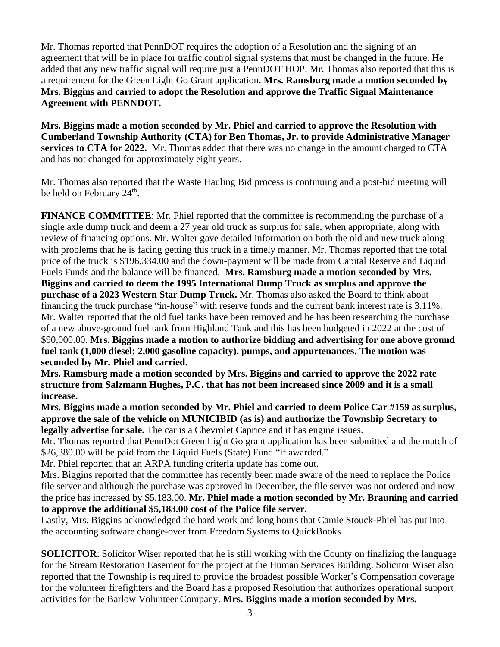Mr. Thomas reported that PennDOT requires the adoption of a Resolution and the signing of an agreement that will be in place for traffic control signal systems that must be changed in the future. He added that any new traffic signal will require just a PennDOT HOP. Mr. Thomas also reported that this is a requirement for the Green Light Go Grant application. **Mrs. Ramsburg made a motion seconded by Mrs. Biggins and carried to adopt the Resolution and approve the Traffic Signal Maintenance Agreement with PENNDOT.**

**Mrs. Biggins made a motion seconded by Mr. Phiel and carried to approve the Resolution with Cumberland Township Authority (CTA) for Ben Thomas, Jr. to provide Administrative Manager services to CTA for 2022.** Mr. Thomas added that there was no change in the amount charged to CTA and has not changed for approximately eight years.

Mr. Thomas also reported that the Waste Hauling Bid process is continuing and a post-bid meeting will be held on February 24<sup>th</sup>.

**FINANCE COMMITTEE**: Mr. Phiel reported that the committee is recommending the purchase of a single axle dump truck and deem a 27 year old truck as surplus for sale, when appropriate, along with review of financing options. Mr. Walter gave detailed information on both the old and new truck along with problems that he is facing getting this truck in a timely manner. Mr. Thomas reported that the total price of the truck is \$196,334.00 and the down-payment will be made from Capital Reserve and Liquid Fuels Funds and the balance will be financed. **Mrs. Ramsburg made a motion seconded by Mrs. Biggins and carried to deem the 1995 International Dump Truck as surplus and approve the purchase of a 2023 Western Star Dump Truck.** Mr. Thomas also asked the Board to think about financing the truck purchase "in-house" with reserve funds and the current bank interest rate is 3.11%. Mr. Walter reported that the old fuel tanks have been removed and he has been researching the purchase of a new above-ground fuel tank from Highland Tank and this has been budgeted in 2022 at the cost of \$90,000.00. **Mrs. Biggins made a motion to authorize bidding and advertising for one above ground fuel tank (1,000 diesel; 2,000 gasoline capacity), pumps, and appurtenances. The motion was seconded by Mr. Phiel and carried.** 

**Mrs. Ramsburg made a motion seconded by Mrs. Biggins and carried to approve the 2022 rate structure from Salzmann Hughes, P.C. that has not been increased since 2009 and it is a small increase.** 

**Mrs. Biggins made a motion seconded by Mr. Phiel and carried to deem Police Car #159 as surplus, approve the sale of the vehicle on MUNICIBID (as is) and authorize the Township Secretary to legally advertise for sale.** The car is a Chevrolet Caprice and it has engine issues.

Mr. Thomas reported that PennDot Green Light Go grant application has been submitted and the match of \$26,380.00 will be paid from the Liquid Fuels (State) Fund "if awarded."

Mr. Phiel reported that an ARPA funding criteria update has come out.

Mrs. Biggins reported that the committee has recently been made aware of the need to replace the Police file server and although the purchase was approved in December, the file server was not ordered and now the price has increased by \$5,183.00. **Mr. Phiel made a motion seconded by Mr. Brauning and carried to approve the additional \$5,183.00 cost of the Police file server.** 

Lastly, Mrs. Biggins acknowledged the hard work and long hours that Camie Stouck-Phiel has put into the accounting software change-over from Freedom Systems to QuickBooks.

**SOLICITOR:** Solicitor Wiser reported that he is still working with the County on finalizing the language for the Stream Restoration Easement for the project at the Human Services Building. Solicitor Wiser also reported that the Township is required to provide the broadest possible Worker's Compensation coverage for the volunteer firefighters and the Board has a proposed Resolution that authorizes operational support activities for the Barlow Volunteer Company. **Mrs. Biggins made a motion seconded by Mrs.**